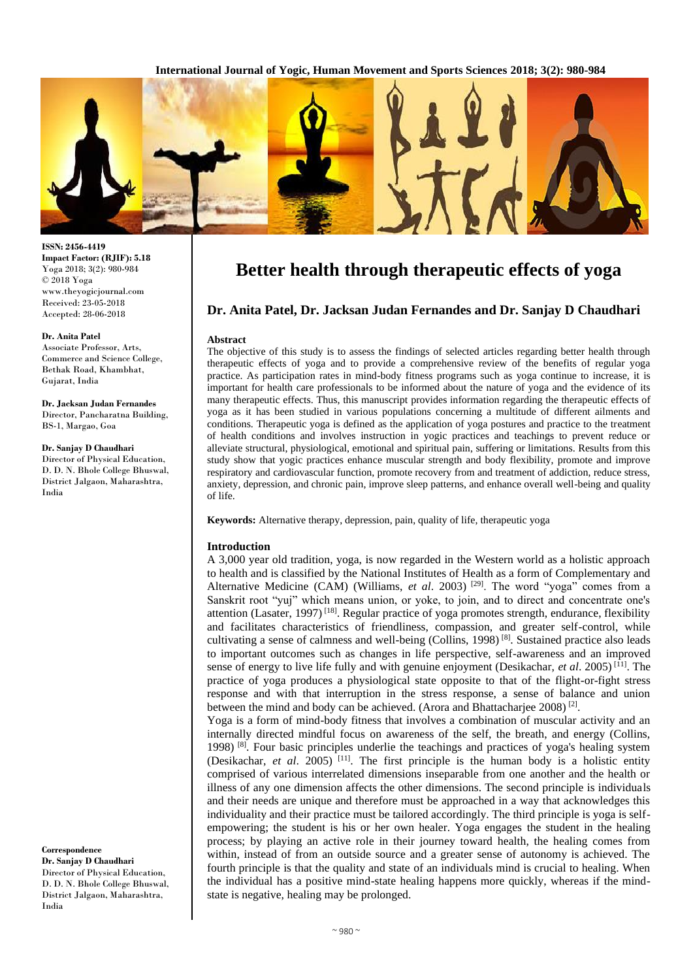**International Journal of Yogic, Human Movement and Sports Sciences 2018; 3(2): 980-984**



#### **ISSN: 2456-4419 Impact Factor: (RJIF): 5.18** Yoga 2018; 3(2): 980-984 © 2018 Yoga www.theyogicjournal.com Received: 23-05-2018 Accepted: 28-06-2018

#### **Dr. Anita Patel**

Associate Professor, Arts, Commerce and Science College, Bethak Road, Khambhat, Gujarat, India

**Dr. Jacksan Judan Fernandes** Director, Pancharatna Building, BS-1, Margao, Goa

## **Dr. Sanjay D Chaudhari**

Director of Physical Education, D. D. N. Bhole College Bhuswal, District Jalgaon, Maharashtra, India

**Correspondence Dr. Sanjay D Chaudhari** Director of Physical Education, D. D. N. Bhole College Bhuswal, District Jalgaon, Maharashtra, India

# **Better health through therapeutic effects of yoga**

# **Dr. Anita Patel, Dr. Jacksan Judan Fernandes and Dr. Sanjay D Chaudhari**

### **Abstract**

The objective of this study is to assess the findings of selected articles regarding better health through therapeutic effects of yoga and to provide a comprehensive review of the benefits of regular yoga practice. As participation rates in mind-body fitness programs such as yoga continue to increase, it is important for health care professionals to be informed about the nature of yoga and the evidence of its many therapeutic effects. Thus, this manuscript provides information regarding the therapeutic effects of yoga as it has been studied in various populations concerning a multitude of different ailments and conditions. Therapeutic yoga is defined as the application of yoga postures and practice to the treatment of health conditions and involves instruction in yogic practices and teachings to prevent reduce or alleviate structural, physiological, emotional and spiritual pain, suffering or limitations. Results from this study show that yogic practices enhance muscular strength and body flexibility, promote and improve respiratory and cardiovascular function, promote recovery from and treatment of addiction, reduce stress, anxiety, depression, and chronic pain, improve sleep patterns, and enhance overall well-being and quality of life.

**Keywords:** Alternative therapy, depression, pain, quality of life, therapeutic yoga

## **Introduction**

A 3,000 year old tradition, yoga, is now regarded in the Western world as a holistic approach to health and is classified by the National Institutes of Health as a form of Complementary and Alternative Medicine (CAM) (Williams, *et al.* 2003)<sup>[29]</sup>. The word "yoga" comes from a Sanskrit root "yuj" which means union, or yoke, to join, and to direct and concentrate one's attention (Lasater, 1997) [18]. Regular practice of yoga promotes strength, endurance, flexibility and facilitates characteristics of friendliness, compassion, and greater self-control, while cultivating a sense of calmness and well-being (Collins, 1998) [8]. Sustained practice also leads to important outcomes such as changes in life perspective, self-awareness and an improved sense of energy to live life fully and with genuine enjoyment (Desikachar, *et al*. 2005) [11]. The practice of yoga produces a physiological state opposite to that of the flight-or-fight stress response and with that interruption in the stress response, a sense of balance and union between the mind and body can be achieved. (Arora and Bhattacharjee 2008)<sup>[2]</sup>.

Yoga is a form of mind-body fitness that involves a combination of muscular activity and an internally directed mindful focus on awareness of the self, the breath, and energy (Collins, 1998)  $[8]$ . Four basic principles underlie the teachings and practices of yoga's healing system (Desikachar, *et al*. 2005) [11]. The first principle is the human body is a holistic entity comprised of various interrelated dimensions inseparable from one another and the health or illness of any one dimension affects the other dimensions. The second principle is individuals and their needs are unique and therefore must be approached in a way that acknowledges this individuality and their practice must be tailored accordingly. The third principle is yoga is selfempowering; the student is his or her own healer. Yoga engages the student in the healing process; by playing an active role in their journey toward health, the healing comes from within, instead of from an outside source and a greater sense of autonomy is achieved. The fourth principle is that the quality and state of an individuals mind is crucial to healing. When the individual has a positive mind-state healing happens more quickly, whereas if the mindstate is negative, healing may be prolonged.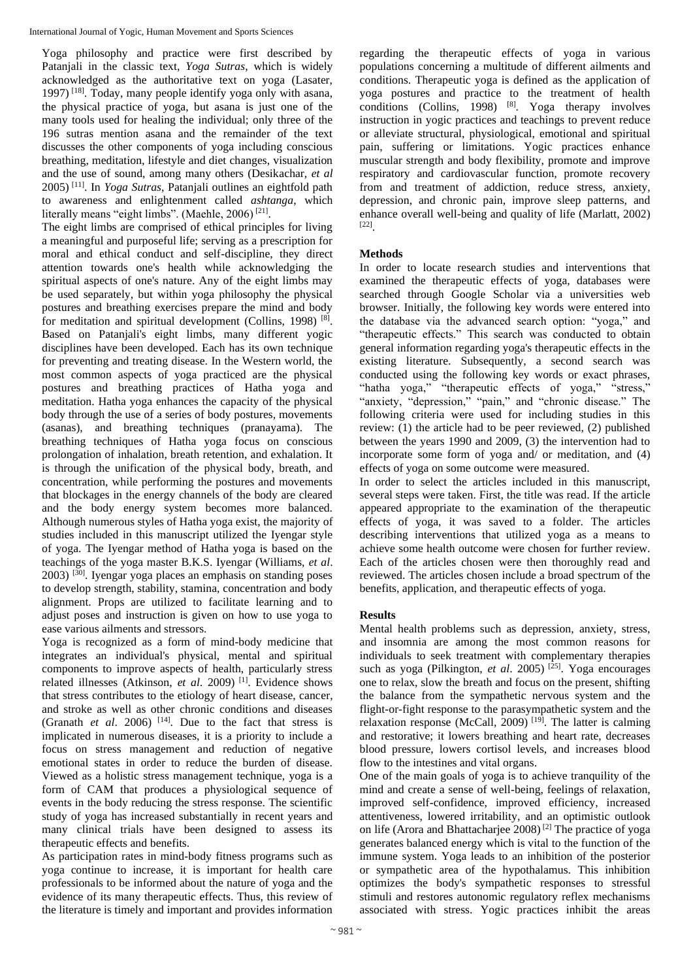Yoga philosophy and practice were first described by Patanjali in the classic text, *Yoga Sutras*, which is widely acknowledged as the authoritative text on yoga (Lasater, 1997) [18]. Today, many people identify yoga only with asana, the physical practice of yoga, but asana is just one of the many tools used for healing the individual; only three of the 196 sutras mention asana and the remainder of the text discusses the other components of yoga including conscious breathing, meditation, lifestyle and diet changes, visualization and the use of sound, among many others (Desikachar, *et al* 2005) [11]. In *Yoga Sutras*, Patanjali outlines an eightfold path to awareness and enlightenment called *ashtanga*, which literally means "eight limbs". (Maehle, 2006)<sup>[21]</sup>.

The eight limbs are comprised of ethical principles for living a meaningful and purposeful life; serving as a prescription for moral and ethical conduct and self-discipline, they direct attention towards one's health while acknowledging the spiritual aspects of one's nature. Any of the eight limbs may be used separately, but within yoga philosophy the physical postures and breathing exercises prepare the mind and body for meditation and spiritual development (Collins, 1998)<sup>[8]</sup>. Based on Patanjali's eight limbs, many different yogic disciplines have been developed. Each has its own technique for preventing and treating disease. In the Western world, the most common aspects of yoga practiced are the physical postures and breathing practices of Hatha yoga and meditation. Hatha yoga enhances the capacity of the physical body through the use of a series of body postures, movements (asanas), and breathing techniques (pranayama). The breathing techniques of Hatha yoga focus on conscious prolongation of inhalation, breath retention, and exhalation. It is through the unification of the physical body, breath, and concentration, while performing the postures and movements that blockages in the energy channels of the body are cleared and the body energy system becomes more balanced. Although numerous styles of Hatha yoga exist, the majority of studies included in this manuscript utilized the Iyengar style of yoga. The Iyengar method of Hatha yoga is based on the teachings of the yoga master B.K.S. Iyengar (Williams, *et al*.  $2003$ )  $^{[30]}$ . Iyengar yoga places an emphasis on standing poses to develop strength, stability, stamina, concentration and body alignment. Props are utilized to facilitate learning and to adjust poses and instruction is given on how to use yoga to ease various ailments and stressors.

Yoga is recognized as a form of mind-body medicine that integrates an individual's physical, mental and spiritual components to improve aspects of health, particularly stress related illnesses (Atkinson, *et al*. 2009) [1]. Evidence shows that stress contributes to the etiology of heart disease, cancer, and stroke as well as other chronic conditions and diseases (Granath *et al.* 2006) <sup>[14]</sup>. Due to the fact that stress is implicated in numerous diseases, it is a priority to include a focus on stress management and reduction of negative emotional states in order to reduce the burden of disease. Viewed as a holistic stress management technique, yoga is a form of CAM that produces a physiological sequence of events in the body reducing the stress response. The scientific study of yoga has increased substantially in recent years and many clinical trials have been designed to assess its therapeutic effects and benefits.

As participation rates in mind-body fitness programs such as yoga continue to increase, it is important for health care professionals to be informed about the nature of yoga and the evidence of its many therapeutic effects. Thus, this review of the literature is timely and important and provides information regarding the therapeutic effects of yoga in various populations concerning a multitude of different ailments and conditions. Therapeutic yoga is defined as the application of yoga postures and practice to the treatment of health conditions (Collins, 1998)  $[8]$ . Yoga therapy involves instruction in yogic practices and teachings to prevent reduce or alleviate structural, physiological, emotional and spiritual pain, suffering or limitations. Yogic practices enhance muscular strength and body flexibility, promote and improve respiratory and cardiovascular function, promote recovery from and treatment of addiction, reduce stress, anxiety, depression, and chronic pain, improve sleep patterns, and enhance overall well-being and quality of life (Marlatt, 2002) [22] .

## **Methods**

In order to locate research studies and interventions that examined the therapeutic effects of yoga, databases were searched through Google Scholar via a universities web browser. Initially, the following key words were entered into the database via the advanced search option: "yoga," and "therapeutic effects." This search was conducted to obtain general information regarding yoga's therapeutic effects in the existing literature. Subsequently, a second search was conducted using the following key words or exact phrases, "hatha yoga," "therapeutic effects of yoga," "stress," "anxiety, "depression," "pain," and "chronic disease." The following criteria were used for including studies in this review: (1) the article had to be peer reviewed, (2) published between the years 1990 and 2009, (3) the intervention had to incorporate some form of yoga and/ or meditation, and (4) effects of yoga on some outcome were measured.

In order to select the articles included in this manuscript, several steps were taken. First, the title was read. If the article appeared appropriate to the examination of the therapeutic effects of yoga, it was saved to a folder. The articles describing interventions that utilized yoga as a means to achieve some health outcome were chosen for further review. Each of the articles chosen were then thoroughly read and reviewed. The articles chosen include a broad spectrum of the benefits, application, and therapeutic effects of yoga.

## **Results**

Mental health problems such as depression, anxiety, stress, and insomnia are among the most common reasons for individuals to seek treatment with complementary therapies such as yoga (Pilkington, *et al.* 2005)<sup>[25]</sup>. Yoga encourages one to relax, slow the breath and focus on the present, shifting the balance from the sympathetic nervous system and the flight-or-fight response to the parasympathetic system and the relaxation response (McCall, 2009)<sup>[19]</sup>. The latter is calming and restorative; it lowers breathing and heart rate, decreases blood pressure, lowers cortisol levels, and increases blood flow to the intestines and vital organs.

One of the main goals of yoga is to achieve tranquility of the mind and create a sense of well-being, feelings of relaxation, improved self-confidence, improved efficiency, increased attentiveness, lowered irritability, and an optimistic outlook on life (Arora and Bhattacharjee 2008) [2] The practice of yoga generates balanced energy which is vital to the function of the immune system. Yoga leads to an inhibition of the posterior or sympathetic area of the hypothalamus. This inhibition optimizes the body's sympathetic responses to stressful stimuli and restores autonomic regulatory reflex mechanisms associated with stress. Yogic practices inhibit the areas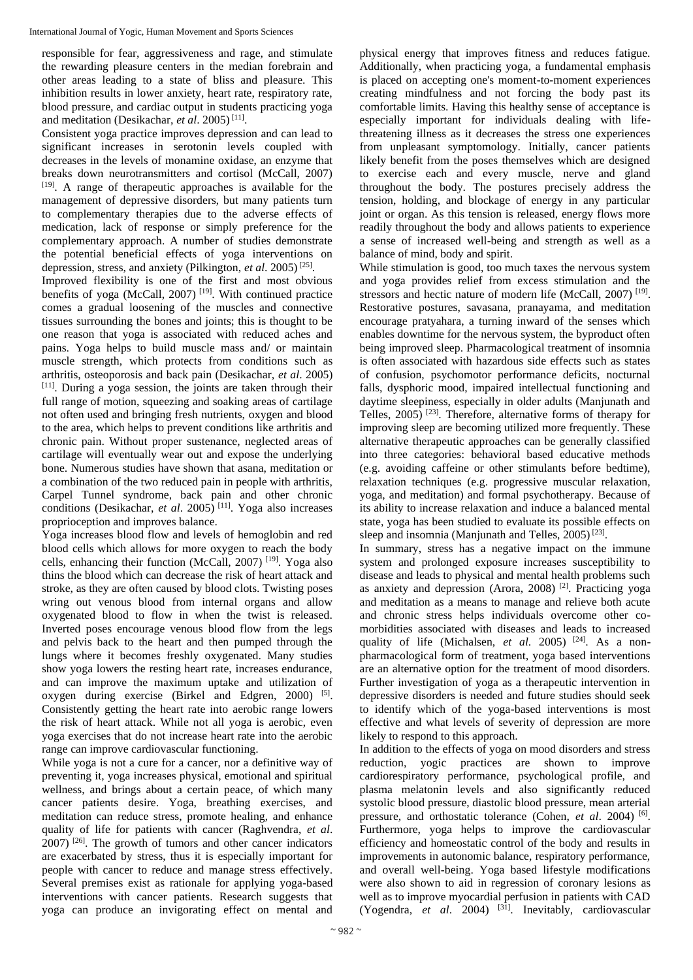responsible for fear, aggressiveness and rage, and stimulate the rewarding pleasure centers in the median forebrain and other areas leading to a state of bliss and pleasure. This inhibition results in lower anxiety, heart rate, respiratory rate, blood pressure, and cardiac output in students practicing yoga and meditation (Desikachar, *et al*. 2005) [11] .

Consistent yoga practice improves depression and can lead to significant increases in serotonin levels coupled with decreases in the levels of monamine oxidase, an enzyme that breaks down neurotransmitters and cortisol (McCall, 2007) [19]. A range of therapeutic approaches is available for the management of depressive disorders, but many patients turn to complementary therapies due to the adverse effects of medication, lack of response or simply preference for the complementary approach. A number of studies demonstrate the potential beneficial effects of yoga interventions on depression, stress, and anxiety (Pilkington, *et al.* 2005)<sup>[25]</sup>.

Improved flexibility is one of the first and most obvious benefits of yoga (McCall, 2007)<sup>[19]</sup>. With continued practice comes a gradual loosening of the muscles and connective tissues surrounding the bones and joints; this is thought to be one reason that yoga is associated with reduced aches and pains. Yoga helps to build muscle mass and/ or maintain muscle strength, which protects from conditions such as arthritis, osteoporosis and back pain (Desikachar, *et al*. 2005) [11]. During a yoga session, the joints are taken through their full range of motion, squeezing and soaking areas of cartilage not often used and bringing fresh nutrients, oxygen and blood to the area, which helps to prevent conditions like arthritis and chronic pain. Without proper sustenance, neglected areas of cartilage will eventually wear out and expose the underlying bone. Numerous studies have shown that asana, meditation or a combination of the two reduced pain in people with arthritis, Carpel Tunnel syndrome, back pain and other chronic conditions (Desikachar, *et al*. 2005) [11]. Yoga also increases proprioception and improves balance.

Yoga increases blood flow and levels of hemoglobin and red blood cells which allows for more oxygen to reach the body cells, enhancing their function (McCall, 2007) [19]. Yoga also thins the blood which can decrease the risk of heart attack and stroke, as they are often caused by blood clots. Twisting poses wring out venous blood from internal organs and allow oxygenated blood to flow in when the twist is released. Inverted poses encourage venous blood flow from the legs and pelvis back to the heart and then pumped through the lungs where it becomes freshly oxygenated. Many studies show yoga lowers the resting heart rate, increases endurance, and can improve the maximum uptake and utilization of oxygen during exercise (Birkel and Edgren, 2000) [5]. Consistently getting the heart rate into aerobic range lowers the risk of heart attack. While not all yoga is aerobic, even yoga exercises that do not increase heart rate into the aerobic range can improve cardiovascular functioning.

While yoga is not a cure for a cancer, nor a definitive way of preventing it, yoga increases physical, emotional and spiritual wellness, and brings about a certain peace, of which many cancer patients desire. Yoga, breathing exercises, and meditation can reduce stress, promote healing, and enhance quality of life for patients with cancer (Raghvendra, *et al*.  $2007$ )  $^{[26]}$ . The growth of tumors and other cancer indicators are exacerbated by stress, thus it is especially important for people with cancer to reduce and manage stress effectively. Several premises exist as rationale for applying yoga-based interventions with cancer patients. Research suggests that yoga can produce an invigorating effect on mental and

physical energy that improves fitness and reduces fatigue. Additionally, when practicing yoga, a fundamental emphasis is placed on accepting one's moment-to-moment experiences creating mindfulness and not forcing the body past its comfortable limits. Having this healthy sense of acceptance is especially important for individuals dealing with lifethreatening illness as it decreases the stress one experiences from unpleasant symptomology. Initially, cancer patients likely benefit from the poses themselves which are designed to exercise each and every muscle, nerve and gland throughout the body. The postures precisely address the tension, holding, and blockage of energy in any particular joint or organ. As this tension is released, energy flows more readily throughout the body and allows patients to experience a sense of increased well-being and strength as well as a balance of mind, body and spirit.

While stimulation is good, too much taxes the nervous system and yoga provides relief from excess stimulation and the stressors and hectic nature of modern life (McCall, 2007)<sup>[19]</sup>. Restorative postures, savasana, pranayama, and meditation encourage pratyahara, a turning inward of the senses which enables downtime for the nervous system, the byproduct often being improved sleep. Pharmacological treatment of insomnia is often associated with hazardous side effects such as states of confusion, psychomotor performance deficits, nocturnal falls, dysphoric mood, impaired intellectual functioning and daytime sleepiness, especially in older adults (Manjunath and Telles,  $2005$ <sup>[23]</sup>. Therefore, alternative forms of therapy for improving sleep are becoming utilized more frequently. These alternative therapeutic approaches can be generally classified into three categories: behavioral based educative methods (e.g. avoiding caffeine or other stimulants before bedtime), relaxation techniques (e.g. progressive muscular relaxation, yoga, and meditation) and formal psychotherapy. Because of its ability to increase relaxation and induce a balanced mental state, yoga has been studied to evaluate its possible effects on sleep and insomnia (Manjunath and Telles, 2005)<sup>[23]</sup>.

In summary, stress has a negative impact on the immune system and prolonged exposure increases susceptibility to disease and leads to physical and mental health problems such as anxiety and depression (Arora, 2008) [2]. Practicing yoga and meditation as a means to manage and relieve both acute and chronic stress helps individuals overcome other comorbidities associated with diseases and leads to increased quality of life (Michalsen, *et al.* 2005)<sup>[24]</sup>. As a nonpharmacological form of treatment, yoga based interventions are an alternative option for the treatment of mood disorders. Further investigation of yoga as a therapeutic intervention in depressive disorders is needed and future studies should seek to identify which of the yoga-based interventions is most effective and what levels of severity of depression are more likely to respond to this approach.

In addition to the effects of yoga on mood disorders and stress reduction, yogic practices are shown to improve cardiorespiratory performance, psychological profile, and plasma melatonin levels and also significantly reduced systolic blood pressure, diastolic blood pressure, mean arterial pressure, and orthostatic tolerance (Cohen, *et al.* 2004) <sup>[6]</sup>. Furthermore, yoga helps to improve the cardiovascular efficiency and homeostatic control of the body and results in improvements in autonomic balance, respiratory performance, and overall well-being. Yoga based lifestyle modifications were also shown to aid in regression of coronary lesions as well as to improve myocardial perfusion in patients with CAD (Yogendra, *et al*. 2004) [31]. Inevitably, cardiovascular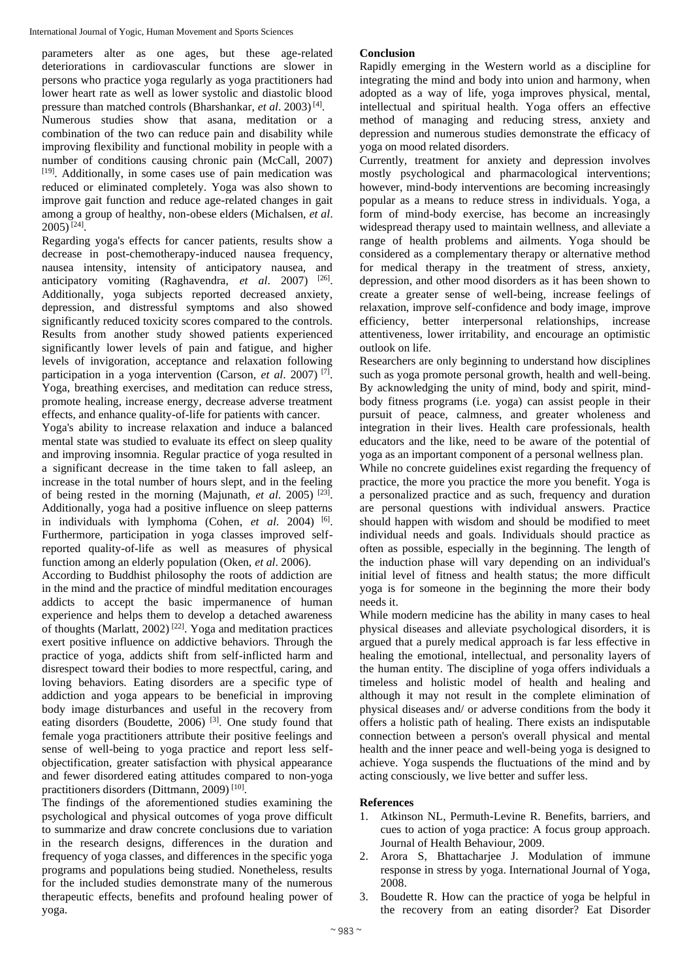parameters alter as one ages, but these age-related deteriorations in cardiovascular functions are slower in persons who practice yoga regularly as yoga practitioners had lower heart rate as well as lower systolic and diastolic blood pressure than matched controls (Bharshankar, *et al.* 2003)<sup>[4]</sup>.

Numerous studies show that asana, meditation or a combination of the two can reduce pain and disability while improving flexibility and functional mobility in people with a number of conditions causing chronic pain (McCall, 2007) [19]. Additionally, in some cases use of pain medication was reduced or eliminated completely. Yoga was also shown to improve gait function and reduce age-related changes in gait among a group of healthy, non-obese elders (Michalsen, *et al*.  $2005$ )<sup>[24]</sup>.

Regarding yoga's effects for cancer patients, results show a decrease in post-chemotherapy-induced nausea frequency, nausea intensity, intensity of anticipatory nausea, and anticipatory vomiting (Raghavendra, *et al.* 2007) <sup>[26]</sup>. Additionally, yoga subjects reported decreased anxiety, depression, and distressful symptoms and also showed significantly reduced toxicity scores compared to the controls. Results from another study showed patients experienced significantly lower levels of pain and fatigue, and higher levels of invigoration, acceptance and relaxation following participation in a yoga intervention (Carson, *et al.* 2007)<sup>[7]</sup>. Yoga, breathing exercises, and meditation can reduce stress, promote healing, increase energy, decrease adverse treatment effects, and enhance quality-of-life for patients with cancer.

Yoga's ability to increase relaxation and induce a balanced mental state was studied to evaluate its effect on sleep quality and improving insomnia. Regular practice of yoga resulted in a significant decrease in the time taken to fall asleep, an increase in the total number of hours slept, and in the feeling of being rested in the morning (Majunath, *et al.* 2005)<sup>[23]</sup>. Additionally, yoga had a positive influence on sleep patterns in individuals with lymphoma (Cohen, et al. 2004) <sup>[6]</sup>. Furthermore, participation in yoga classes improved selfreported quality-of-life as well as measures of physical function among an elderly population (Oken, *et al*. 2006).

According to Buddhist philosophy the roots of addiction are in the mind and the practice of mindful meditation encourages addicts to accept the basic impermanence of human experience and helps them to develop a detached awareness of thoughts (Marlatt, 2002) [22]. Yoga and meditation practices exert positive influence on addictive behaviors. Through the practice of yoga, addicts shift from self-inflicted harm and disrespect toward their bodies to more respectful, caring, and loving behaviors. Eating disorders are a specific type of addiction and yoga appears to be beneficial in improving body image disturbances and useful in the recovery from eating disorders (Boudette, 2006)<sup>[3]</sup>. One study found that female yoga practitioners attribute their positive feelings and sense of well-being to yoga practice and report less selfobjectification, greater satisfaction with physical appearance and fewer disordered eating attitudes compared to non-yoga practitioners disorders (Dittmann, 2009)<sup>[10]</sup>.

The findings of the aforementioned studies examining the psychological and physical outcomes of yoga prove difficult to summarize and draw concrete conclusions due to variation in the research designs, differences in the duration and frequency of yoga classes, and differences in the specific yoga programs and populations being studied. Nonetheless, results for the included studies demonstrate many of the numerous therapeutic effects, benefits and profound healing power of yoga.

# **Conclusion**

Rapidly emerging in the Western world as a discipline for integrating the mind and body into union and harmony, when adopted as a way of life, yoga improves physical, mental, intellectual and spiritual health. Yoga offers an effective method of managing and reducing stress, anxiety and depression and numerous studies demonstrate the efficacy of yoga on mood related disorders.

Currently, treatment for anxiety and depression involves mostly psychological and pharmacological interventions; however, mind-body interventions are becoming increasingly popular as a means to reduce stress in individuals. Yoga, a form of mind-body exercise, has become an increasingly widespread therapy used to maintain wellness, and alleviate a range of health problems and ailments. Yoga should be considered as a complementary therapy or alternative method for medical therapy in the treatment of stress, anxiety, depression, and other mood disorders as it has been shown to create a greater sense of well-being, increase feelings of relaxation, improve self-confidence and body image, improve efficiency, better interpersonal relationships, increase attentiveness, lower irritability, and encourage an optimistic outlook on life.

Researchers are only beginning to understand how disciplines such as yoga promote personal growth, health and well-being. By acknowledging the unity of mind, body and spirit, mindbody fitness programs (i.e. yoga) can assist people in their pursuit of peace, calmness, and greater wholeness and integration in their lives. Health care professionals, health educators and the like, need to be aware of the potential of yoga as an important component of a personal wellness plan.

While no concrete guidelines exist regarding the frequency of practice, the more you practice the more you benefit. Yoga is a personalized practice and as such, frequency and duration are personal questions with individual answers. Practice should happen with wisdom and should be modified to meet individual needs and goals. Individuals should practice as often as possible, especially in the beginning. The length of the induction phase will vary depending on an individual's initial level of fitness and health status; the more difficult yoga is for someone in the beginning the more their body needs it.

While modern medicine has the ability in many cases to heal physical diseases and alleviate psychological disorders, it is argued that a purely medical approach is far less effective in healing the emotional, intellectual, and personality layers of the human entity. The discipline of yoga offers individuals a timeless and holistic model of health and healing and although it may not result in the complete elimination of physical diseases and/ or adverse conditions from the body it offers a holistic path of healing. There exists an indisputable connection between a person's overall physical and mental health and the inner peace and well-being yoga is designed to achieve. Yoga suspends the fluctuations of the mind and by acting consciously, we live better and suffer less.

## **References**

- 1. Atkinson NL, Permuth-Levine R. Benefits, barriers, and cues to action of yoga practice: A focus group approach. Journal of Health Behaviour, 2009.
- 2. Arora S, Bhattacharjee J. Modulation of immune response in stress by yoga. International Journal of Yoga, 2008.
- 3. Boudette R. How can the practice of yoga be helpful in the recovery from an eating disorder? Eat Disorder